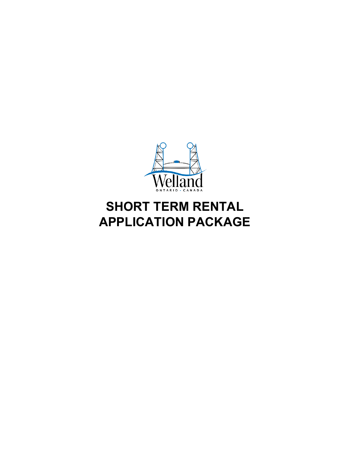

# **SHORT TERM RENTAL APPLICATION PACKAGE**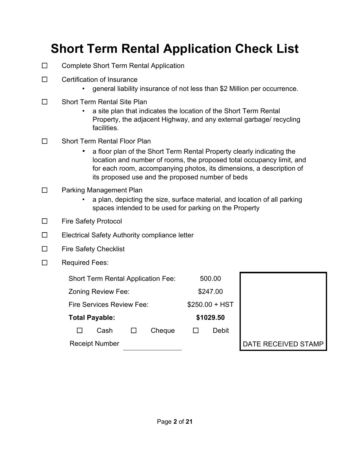# **Short Term Rental Application Check List**

- ☐ Complete Short Term Rental Application
- ☐ Certification of Insurance
	- general liability insurance of not less than \$2 Million per occurrence.
- ☐ Short Term Rental Site Plan
	- a site plan that indicates the location of the Short Term Rental Property, the adjacent Highway, and any external garbage/ recycling facilities.
- ☐ Short Term Rental Floor Plan
	- a floor plan of the Short Term Rental Property clearly indicating the location and number of rooms, the proposed total occupancy limit, and for each room, accompanying photos, its dimensions, a description of its proposed use and the proposed number of beds
- ☐ Parking Management Plan
	- a plan, depicting the size, surface material, and location of all parking spaces intended to be used for parking on the Property
- ☐ Fire Safety Protocol
- ☐ Electrical Safety Authority compliance letter
- ☐ Fire Safety Checklist
- ☐ Required Fees:

| <b>Short Term Rental Application Fee:</b> |  |                       |                 | 500.00    |       |                     |
|-------------------------------------------|--|-----------------------|-----------------|-----------|-------|---------------------|
| Zoning Review Fee:                        |  |                       | \$247.00        |           |       |                     |
| Fire Services Review Fee:                 |  |                       | $$250.00 + HST$ |           |       |                     |
| <b>Total Payable:</b>                     |  |                       |                 | \$1029.50 |       |                     |
|                                           |  | Cash                  | Cheque          |           | Debit |                     |
|                                           |  | <b>Receipt Number</b> |                 |           |       | DATE RECEIVED STAMP |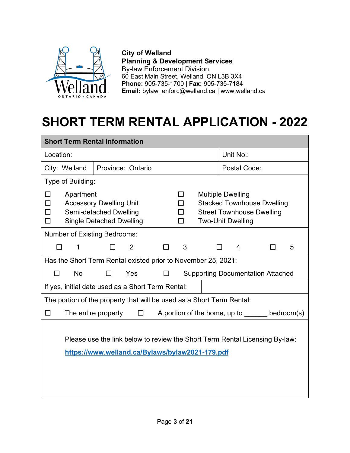

**City of Welland Planning & Development Services** By-law Enforcement Division 60 East Main Street, Welland, ON L3B 3X4 **Phone:** 905-735-1700 | **Fax:** 905-735-7184 **Email:** bylaw\_enfor[c@welland.ca](http://@welland.ca) | www.welland.ca

# **SHORT TERM RENTAL APPLICATION - 2022**

| <b>Short Term Rental Information</b>                                                                                           |                                                                                             |                |   |                                  |                                                      |                                                                       |            |  |
|--------------------------------------------------------------------------------------------------------------------------------|---------------------------------------------------------------------------------------------|----------------|---|----------------------------------|------------------------------------------------------|-----------------------------------------------------------------------|------------|--|
| Location:                                                                                                                      |                                                                                             |                |   |                                  |                                                      | Unit No.:                                                             |            |  |
| City: Welland                                                                                                                  | Province: Ontario                                                                           |                |   |                                  |                                                      | Postal Code:                                                          |            |  |
| Type of Building:                                                                                                              |                                                                                             |                |   |                                  |                                                      |                                                                       |            |  |
| $\Box$<br>Apartment<br>ΙI<br>$\Box$<br>П                                                                                       | <b>Accessory Dwelling Unit</b><br>Semi-detached Dwelling<br><b>Single Detached Dwelling</b> |                |   | ΙI<br>$\Box$<br>$\Box$<br>$\Box$ | <b>Multiple Dwelling</b><br><b>Two-Unit Dwelling</b> | <b>Stacked Townhouse Dwelling</b><br><b>Street Townhouse Dwelling</b> |            |  |
| <b>Number of Existing Bedrooms:</b>                                                                                            |                                                                                             |                |   |                                  |                                                      |                                                                       |            |  |
| 1<br>П                                                                                                                         |                                                                                             | $\overline{2}$ | □ | 3                                | $\mathsf{L}$                                         | 4                                                                     | 5          |  |
| Has the Short Term Rental existed prior to November 25, 2021:                                                                  |                                                                                             |                |   |                                  |                                                      |                                                                       |            |  |
| <b>No</b><br>П                                                                                                                 | ΙI                                                                                          | Yes            |   |                                  |                                                      | <b>Supporting Documentation Attached</b>                              |            |  |
| If yes, initial date used as a Short Term Rental:                                                                              |                                                                                             |                |   |                                  |                                                      |                                                                       |            |  |
| The portion of the property that will be used as a Short Term Rental:                                                          |                                                                                             |                |   |                                  |                                                      |                                                                       |            |  |
| □                                                                                                                              | The entire property                                                                         | $\Box$         |   |                                  |                                                      | A portion of the home, up to                                          | bedroom(s) |  |
| Please use the link below to review the Short Term Rental Licensing By-law:<br>https://www.welland.ca/Bylaws/bylaw2021-179.pdf |                                                                                             |                |   |                                  |                                                      |                                                                       |            |  |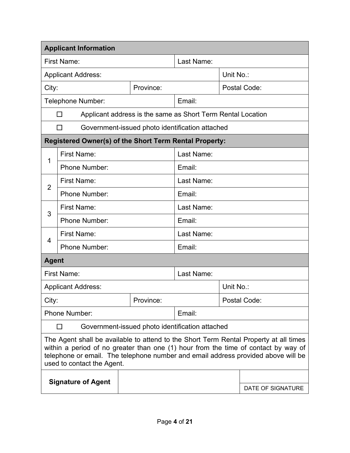| <b>Applicant Information</b>                                                                                                                                                                                                                                                                   |                                                               |                                                             |            |                   |  |  |
|------------------------------------------------------------------------------------------------------------------------------------------------------------------------------------------------------------------------------------------------------------------------------------------------|---------------------------------------------------------------|-------------------------------------------------------------|------------|-------------------|--|--|
|                                                                                                                                                                                                                                                                                                | First Name:                                                   |                                                             | Last Name: |                   |  |  |
|                                                                                                                                                                                                                                                                                                | <b>Applicant Address:</b>                                     |                                                             | Unit No.:  |                   |  |  |
| City:<br>Province:                                                                                                                                                                                                                                                                             |                                                               |                                                             |            | Postal Code:      |  |  |
|                                                                                                                                                                                                                                                                                                | Telephone Number:                                             |                                                             | Email:     |                   |  |  |
|                                                                                                                                                                                                                                                                                                | П                                                             | Applicant address is the same as Short Term Rental Location |            |                   |  |  |
| П<br>Government-issued photo identification attached                                                                                                                                                                                                                                           |                                                               |                                                             |            |                   |  |  |
|                                                                                                                                                                                                                                                                                                | <b>Registered Owner(s) of the Short Term Rental Property:</b> |                                                             |            |                   |  |  |
| 1                                                                                                                                                                                                                                                                                              | First Name:                                                   |                                                             | Last Name: |                   |  |  |
|                                                                                                                                                                                                                                                                                                | Phone Number:                                                 |                                                             | Email:     |                   |  |  |
| $\overline{2}$                                                                                                                                                                                                                                                                                 | First Name:                                                   |                                                             | Last Name: |                   |  |  |
|                                                                                                                                                                                                                                                                                                | <b>Phone Number:</b>                                          |                                                             | Email:     |                   |  |  |
| 3                                                                                                                                                                                                                                                                                              | First Name:                                                   |                                                             | Last Name: |                   |  |  |
|                                                                                                                                                                                                                                                                                                | <b>Phone Number:</b>                                          |                                                             | Email:     |                   |  |  |
| $\overline{4}$                                                                                                                                                                                                                                                                                 | First Name:                                                   |                                                             | Last Name: |                   |  |  |
|                                                                                                                                                                                                                                                                                                | Phone Number:                                                 |                                                             | Email:     |                   |  |  |
| <b>Agent</b>                                                                                                                                                                                                                                                                                   |                                                               |                                                             |            |                   |  |  |
|                                                                                                                                                                                                                                                                                                | First Name:                                                   |                                                             | Last Name: |                   |  |  |
|                                                                                                                                                                                                                                                                                                | <b>Applicant Address:</b>                                     |                                                             |            | Unit No.:         |  |  |
| City:                                                                                                                                                                                                                                                                                          |                                                               | Province:                                                   |            | Postal Code:      |  |  |
| <b>Phone Number:</b>                                                                                                                                                                                                                                                                           |                                                               |                                                             | Email:     |                   |  |  |
|                                                                                                                                                                                                                                                                                                | Government-issued photo identification attached<br>П          |                                                             |            |                   |  |  |
| The Agent shall be available to attend to the Short Term Rental Property at all times<br>within a period of no greater than one (1) hour from the time of contact by way of<br>telephone or email. The telephone number and email address provided above will be<br>used to contact the Agent. |                                                               |                                                             |            |                   |  |  |
| <b>Signature of Agent</b>                                                                                                                                                                                                                                                                      |                                                               |                                                             |            | DATE OF SIGNATURE |  |  |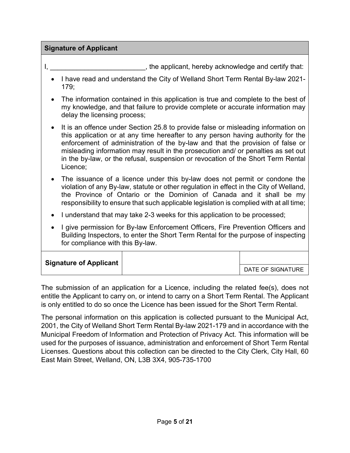#### **Signature of Applicant**

I, Let a subset the applicant, hereby acknowledge and certify that:

- I have read and understand the City of Welland Short Term Rental By-law 2021- 179;
- The information contained in this application is true and complete to the best of my knowledge, and that failure to provide complete or accurate information may delay the licensing process;
- It is an offence under Section 25.8 to provide false or misleading information on this application or at any time hereafter to any person having authority for the enforcement of administration of the by-law and that the provision of false or misleading information may result in the prosecution and/ or penalties as set out in the by-law, or the refusal, suspension or revocation of the Short Term Rental Licence;
- The issuance of a licence under this by-law does not permit or condone the violation of any By-law, statute or other regulation in effect in the City of Welland, the Province of Ontario or the Dominion of Canada and it shall be my responsibility to ensure that such applicable legislation is complied with at all time;
- I understand that may take 2-3 weeks for this application to be processed;
- I give permission for By-law Enforcement Officers, Fire Prevention Officers and Building Inspectors, to enter the Short Term Rental for the purpose of inspecting for compliance with this By-law.

| <b>Signature of Applicant</b> |                   |
|-------------------------------|-------------------|
|                               | DATE OF SIGNATURE |

The submission of an application for a Licence, including the related fee(s), does not entitle the Applicant to carry on, or intend to carry on a Short Term Rental. The Applicant is only entitled to do so once the Licence has been issued for the Short Term Rental.

The personal information on this application is collected pursuant to the Municipal Act, 2001, the City of Welland Short Term Rental By-law 2021-179 and in accordance with the Municipal Freedom of Information and Protection of Privacy Act. This information will be used for the purposes of issuance, administration and enforcement of Short Term Rental Licenses. Questions about this collection can be directed to the City Clerk, City Hall, 60 East Main Street, Welland, ON, L3B 3X4, 905-735-1700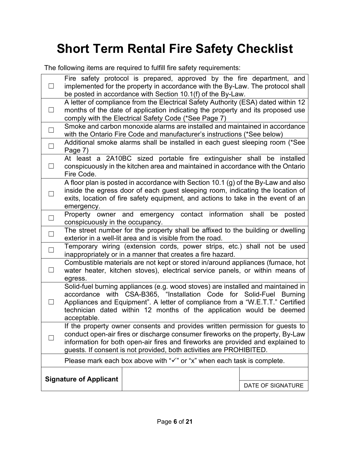# **Short Term Rental Fire Safety Checklist**

The following items are required to fulfill fire safety requirements:

| ⊔      | be posted in accordance with Section 10.1(f) of the By-Law.                                                                                                                                                                                                                                                                     |  |  |  | Fire safety protocol is prepared, approved by the fire department, and<br>implemented for the property in accordance with the By-Law. The protocol shall |
|--------|---------------------------------------------------------------------------------------------------------------------------------------------------------------------------------------------------------------------------------------------------------------------------------------------------------------------------------|--|--|--|----------------------------------------------------------------------------------------------------------------------------------------------------------|
| ப      | A letter of compliance from the Electrical Safety Authority (ESA) dated within 12<br>months of the date of application indicating the property and its proposed use<br>comply with the Electrical Safety Code (*See Page 7)                                                                                                     |  |  |  |                                                                                                                                                          |
| $\Box$ | with the Ontario Fire Code and manufacturer's instructions (*See below)                                                                                                                                                                                                                                                         |  |  |  | Smoke and carbon monoxide alarms are installed and maintained in accordance                                                                              |
| $\Box$ | Page 7)                                                                                                                                                                                                                                                                                                                         |  |  |  | Additional smoke alarms shall be installed in each guest sleeping room (*See                                                                             |
| $\Box$ | Fire Code.                                                                                                                                                                                                                                                                                                                      |  |  |  | At least a 2A10BC sized portable fire extinguisher shall be installed<br>conspicuously in the kitchen area and maintained in accordance with the Ontario |
| $\Box$ | A floor plan is posted in accordance with Section 10.1 (g) of the By-Law and also<br>inside the egress door of each guest sleeping room, indicating the location of<br>exits, location of fire safety equipment, and actions to take in the event of an<br>emergency.                                                           |  |  |  |                                                                                                                                                          |
| $\Box$ | Property owner and emergency contact information<br>shall<br>be<br>posted<br>conspicuously in the occupancy.                                                                                                                                                                                                                    |  |  |  |                                                                                                                                                          |
| $\Box$ | The street number for the property shall be affixed to the building or dwelling<br>exterior in a well-lit area and is visible from the road.                                                                                                                                                                                    |  |  |  |                                                                                                                                                          |
| $\Box$ | Temporary wiring (extension cords, power strips, etc.) shall not be used<br>inappropriately or in a manner that creates a fire hazard.                                                                                                                                                                                          |  |  |  |                                                                                                                                                          |
| $\Box$ | Combustible materials are not kept or stored in/around appliances (furnace, hot<br>water heater, kitchen stoves), electrical service panels, or within means of<br>egress.                                                                                                                                                      |  |  |  |                                                                                                                                                          |
| Ш      | Solid-fuel burning appliances (e.g. wood stoves) are installed and maintained in<br>accordance with CSA-B365, "Installation Code for Solid-Fuel Burning<br>Appliances and Equipment". A letter of compliance from a "W.E.T.T." Certified<br>technician dated within 12 months of the application would be deemed<br>acceptable. |  |  |  |                                                                                                                                                          |
|        | If the property owner consents and provides written permission for guests to<br>conduct open-air fires or discharge consumer fireworks on the property, By-Law<br>information for both open-air fires and fireworks are provided and explained to<br>guests. If consent is not provided, both activities are PROHIBITED.        |  |  |  |                                                                                                                                                          |
|        | Please mark each box above with " $\checkmark$ " or "x" when each task is complete.                                                                                                                                                                                                                                             |  |  |  |                                                                                                                                                          |
|        | <b>Signature of Applicant</b>                                                                                                                                                                                                                                                                                                   |  |  |  |                                                                                                                                                          |
|        |                                                                                                                                                                                                                                                                                                                                 |  |  |  | DATE OF SIGNATURE                                                                                                                                        |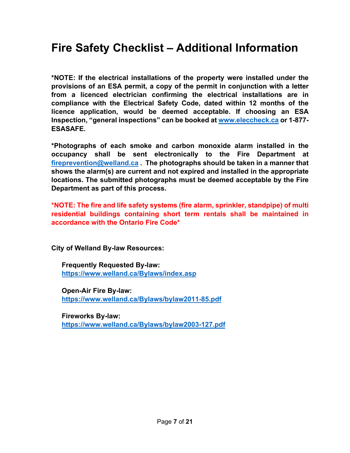## **Fire Safety Checklist – Additional Information**

**\*NOTE: If the electrical installations of the property were installed under the provisions of an ESA permit, a copy of the permit in conjunction with a letter from a licenced electrician confirming the electrical installations are in compliance with the Electrical Safety Code, dated within 12 months of the licence application, would be deemed acceptable. If choosing an ESA Inspection, "general inspections" can be booked at [www.eleccheck.ca](http://www.eleccheck.ca/) or 1-877- ESASAFE.**

**\*Photographs of each smoke and carbon monoxide alarm installed in the occupancy shall be sent electronically to the Fire Department at [fireprevention@welland.ca](mailto:fireprevention@welland.ca) . The photographs should be taken in a manner that shows the alarm(s) are current and not expired and installed in the appropriate locations. The submitted photographs must be deemed acceptable by the Fire Department as part of this process.**

**\*NOTE: The fire and life safety systems (fire alarm, sprinkler, standpipe) of multi residential buildings containing short term rentals shall be maintained in accordance with the Ontario Fire Code\*** 

**City of Welland By-law Resources:**

**Frequently Requested By-law: <https://www.welland.ca/Bylaws/index.asp>**

**Open-Air Fire By-law: <https://www.welland.ca/Bylaws/bylaw2011-85.pdf>**

**Fireworks By-law: <https://www.welland.ca/Bylaws/bylaw2003-127.pdf>**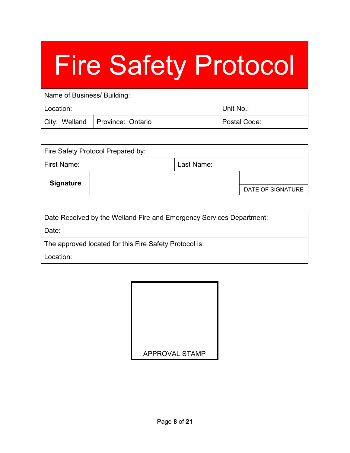# Fire Safety Protocol

| Name of Business/ Building: |                                   |              |  |  |
|-----------------------------|-----------------------------------|--------------|--|--|
| Location:                   |                                   | l Unit No.:  |  |  |
|                             | City: Welland   Province: Ontario | Postal Code: |  |  |

| Fire Safety Protocol Prepared by: |  |            |                   |  |
|-----------------------------------|--|------------|-------------------|--|
| First Name:                       |  | Last Name: |                   |  |
| <b>Signature</b>                  |  |            |                   |  |
|                                   |  |            | DATE OF SIGNATURE |  |

| Date Received by the Welland Fire and Emergency Services Department: |  |  |  |
|----------------------------------------------------------------------|--|--|--|
|                                                                      |  |  |  |

Date:

The approved located for this Fire Safety Protocol is:

Location:

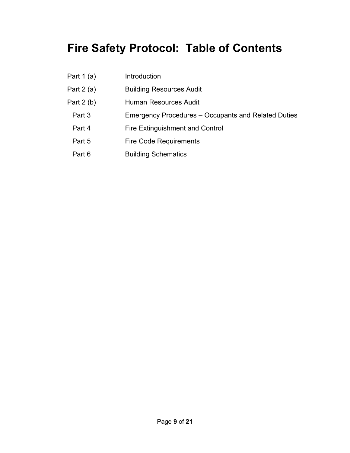# **Fire Safety Protocol: Table of Contents**

Part 1 (a) Introduction Part 2 (a) Building Resources Audit Part 2 (b) Human Resources Audit Part 3 Emergency Procedures – Occupants and Related Duties Part 4 **Fire Extinguishment and Control** Part 5 Fire Code Requirements Part 6 **Building Schematics**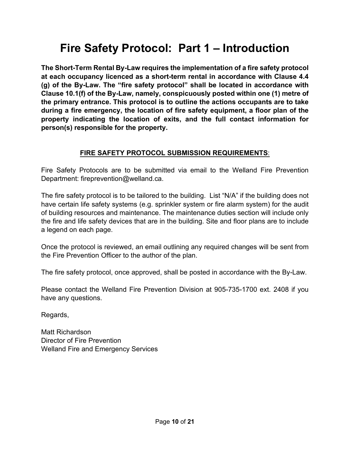# **Fire Safety Protocol: Part 1 – Introduction**

**The Short-Term Rental By-Law requires the implementation of a fire safety protocol at each occupancy licenced as a short-term rental in accordance with Clause 4.4 (g) of the By-Law. The "fire safety protocol" shall be located in accordance with Clause 10.1(f) of the By-Law, namely, conspicuously posted within one (1) metre of the primary entrance. This protocol is to outline the actions occupants are to take during a fire emergency, the location of fire safety equipment, a floor plan of the property indicating the location of exits, and the full contact information for person(s) responsible for the property.**

## **FIRE SAFETY PROTOCOL SUBMISSION REQUIREMENTS**:

Fire Safety Protocols are to be submitted via email to the Welland Fire Prevention Department: fireprevention@welland.ca.

The fire safety protocol is to be tailored to the building. List "N/A" if the building does not have certain life safety systems (e.g. sprinkler system or fire alarm system) for the audit of building resources and maintenance. The maintenance duties section will include only the fire and life safety devices that are in the building. Site and floor plans are to include a legend on each page.

Once the protocol is reviewed, an email outlining any required changes will be sent from the Fire Prevention Officer to the author of the plan.

The fire safety protocol, once approved, shall be posted in accordance with the By-Law.

Please contact the Welland Fire Prevention Division at 905-735-1700 ext. 2408 if you have any questions.

Regards,

Matt Richardson Director of Fire Prevention Welland Fire and Emergency Services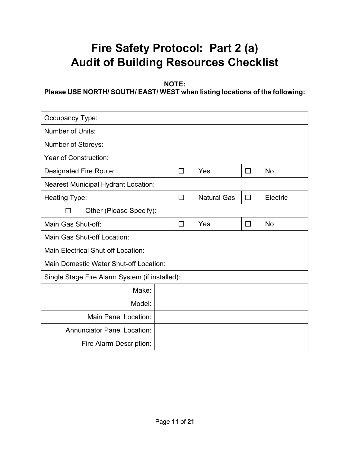# **Fire Safety Protocol: Part 2 (a) Audit of Building Resources Checklist**

**NOTE:**

**Please USE NORTH/ SOUTH/ EAST/ WEST when listing locations of the following:**

| Occupancy Type:                                |  |        |                    |        |           |
|------------------------------------------------|--|--------|--------------------|--------|-----------|
| Number of Units:                               |  |        |                    |        |           |
| <b>Number of Storeys:</b>                      |  |        |                    |        |           |
| <b>Year of Construction:</b>                   |  |        |                    |        |           |
| Designated Fire Route:                         |  | П      | Yes                | $\Box$ | <b>No</b> |
| <b>Nearest Municipal Hydrant Location:</b>     |  |        |                    |        |           |
| Heating Type:                                  |  | П      | <b>Natural Gas</b> | $\Box$ | Electric  |
| Other (Please Specify):<br>ΙI                  |  |        |                    |        |           |
| Main Gas Shut-off:                             |  | $\Box$ | Yes                | $\Box$ | <b>No</b> |
| Main Gas Shut-off Location:                    |  |        |                    |        |           |
| Main Electrical Shut-off Location:             |  |        |                    |        |           |
| Main Domestic Water Shut-off Location:         |  |        |                    |        |           |
| Single Stage Fire Alarm System (if installed): |  |        |                    |        |           |
| Make:                                          |  |        |                    |        |           |
| Model:                                         |  |        |                    |        |           |
| Main Panel Location:                           |  |        |                    |        |           |
| <b>Annunciator Panel Location:</b>             |  |        |                    |        |           |
| Fire Alarm Description:                        |  |        |                    |        |           |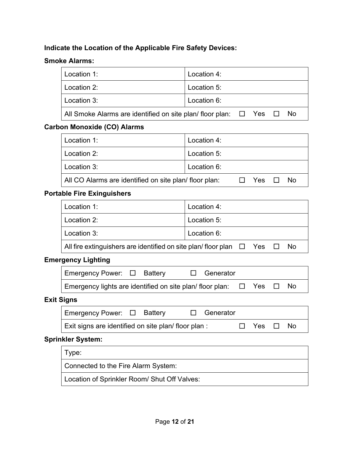#### **Indicate the Location of the Applicable Fire Safety Devices:**

#### **Smoke Alarms:**

| Location 1:                                                                        | Location 4: |  |
|------------------------------------------------------------------------------------|-------------|--|
| Location 2:                                                                        | Location 5: |  |
| Location 3:                                                                        | Location 6: |  |
| All Smoke Alarms are identified on site plan/ floor plan: $\Box$ Yes $\Box$<br>No. |             |  |
|                                                                                    |             |  |

#### **Carbon Monoxide (CO) Alarms**

| Location 1:                                           | Location 4:       |
|-------------------------------------------------------|-------------------|
| Location 2:                                           | Location 5:       |
| Location 3:                                           | Location 6:       |
| All CO Alarms are identified on site plan/floor plan: | No.<br>Yes $\Box$ |

#### **Portable Fire Exinguishers**

| Location 1:                                                                     | Location 4: |  |  |  |
|---------------------------------------------------------------------------------|-------------|--|--|--|
| Location 2:                                                                     | Location 5: |  |  |  |
| Location 3:                                                                     | Location 6: |  |  |  |
| All fire extinguishers are identified on site plan/floor plan $\Box$ Yes<br>No. |             |  |  |  |

#### **Emergency Lighting**

| Emergency Power: $\Box$ Battery                                                | $\Box$ Generator |  |  |
|--------------------------------------------------------------------------------|------------------|--|--|
| Emergency lights are identified on site plan/ floor plan: $\Box$ Yes $\Box$ No |                  |  |  |

#### **Exit Signs**

| Emergency Power: □ Battery                          |  | $\Box$ Generator |                   |     |
|-----------------------------------------------------|--|------------------|-------------------|-----|
| Exit signs are identified on site plan/ floor plan: |  |                  | $\Box$ Yes $\Box$ | No. |

#### **Sprinkler System:**

Type:

Connected to the Fire Alarm System:

Location of Sprinkler Room/ Shut Off Valves: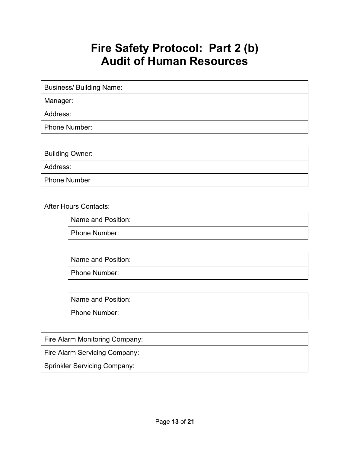## **Fire Safety Protocol: Part 2 (b) Audit of Human Resources**

Business/ Building Name:

Manager:

Address:

Phone Number:

| Building Owner:     |  |
|---------------------|--|
| Address:            |  |
| <b>Phone Number</b> |  |

After Hours Contacts:

Name and Position:

Phone Number:

Name and Position:

Phone Number:

Name and Position:

Phone Number:

Fire Alarm Monitoring Company:

Fire Alarm Servicing Company:

Sprinkler Servicing Company: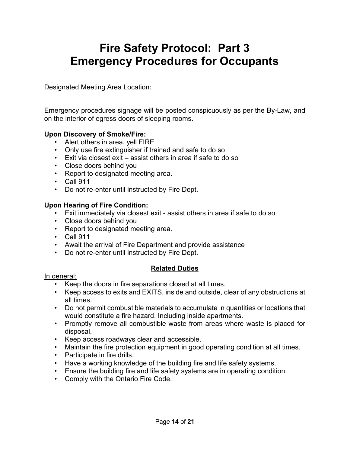## **Fire Safety Protocol: Part 3 Emergency Procedures for Occupants**

Designated Meeting Area Location:

Emergency procedures signage will be posted conspicuously as per the By-Law, and on the interior of egress doors of sleeping rooms.

#### **Upon Discovery of Smoke/Fire:**

- Alert others in area, yell FIRE
- Only use fire extinguisher if trained and safe to do so
- Exit via closest exit assist others in area if safe to do so
- Close doors behind you
- Report to designated meeting area.
- Call 911
- Do not re-enter until instructed by Fire Dept.

#### **Upon Hearing of Fire Condition:**

- Exit immediately via closest exit assist others in area if safe to do so
- Close doors behind you
- Report to designated meeting area.
- Call 911
- Await the arrival of Fire Department and provide assistance
- Do not re-enter until instructed by Fire Dept.

#### **Related Duties**

#### In general:

- Keep the doors in fire separations closed at all times.
- Keep access to exits and EXITS, inside and outside, clear of any obstructions at all times.
- Do not permit combustible materials to accumulate in quantities or locations that would constitute a fire hazard. Including inside apartments.
- Promptly remove all combustible waste from areas where waste is placed for disposal.
- Keep access roadways clear and accessible.
- Maintain the fire protection equipment in good operating condition at all times.
- Participate in fire drills.
- Have a working knowledge of the building fire and life safety systems.
- Ensure the building fire and life safety systems are in operating condition.
- Comply with the Ontario Fire Code.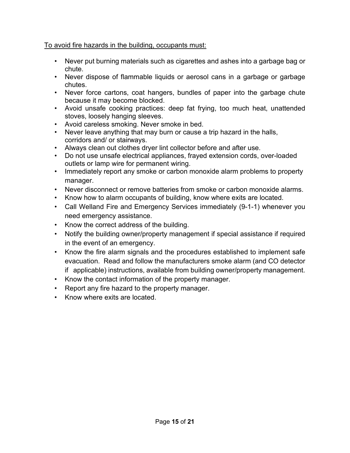#### To avoid fire hazards in the building, occupants must:

- Never put burning materials such as cigarettes and ashes into a garbage bag or chute.
- Never dispose of flammable liquids or aerosol cans in a garbage or garbage chutes.
- Never force cartons, coat hangers, bundles of paper into the garbage chute because it may become blocked.
- Avoid unsafe cooking practices: deep fat frying, too much heat, unattended stoves, loosely hanging sleeves.
- Avoid careless smoking. Never smoke in bed.
- Never leave anything that may burn or cause a trip hazard in the halls, corridors and/ or stairways.
- Always clean out clothes dryer lint collector before and after use.
- Do not use unsafe electrical appliances, frayed extension cords, over-loaded outlets or lamp wire for permanent wiring.
- Immediately report any smoke or carbon monoxide alarm problems to property manager.
- Never disconnect or remove batteries from smoke or carbon monoxide alarms.
- Know how to alarm occupants of building, know where exits are located.
- Call Welland Fire and Emergency Services immediately (9-1-1) whenever you need emergency assistance.
- Know the correct address of the building.
- Notify the building owner/property management if special assistance if required in the event of an emergency.
- Know the fire alarm signals and the procedures established to implement safe evacuation. Read and follow the manufacturers smoke alarm (and CO detector if applicable) instructions, available from building owner/property management.
- Know the contact information of the property manager.
- Report any fire hazard to the property manager.
- Know where exits are located.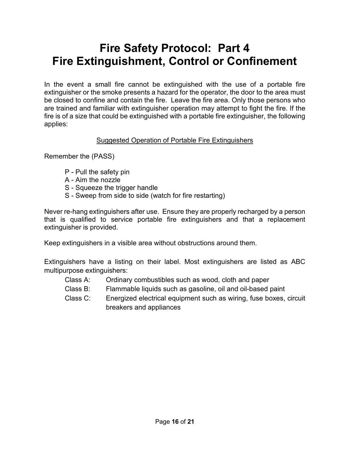## **Fire Safety Protocol: Part 4 Fire Extinguishment, Control or Confinement**

In the event a small fire cannot be extinguished with the use of a portable fire extinguisher or the smoke presents a hazard for the operator, the door to the area must be closed to confine and contain the fire. Leave the fire area. Only those persons who are trained and familiar with extinguisher operation may attempt to fight the fire. If the fire is of a size that could be extinguished with a portable fire extinguisher, the following applies:

#### Suggested Operation of Portable Fire Extinguishers

Remember the (PASS)

- P Pull the safety pin
- A Aim the nozzle
- S Squeeze the trigger handle
- S Sweep from side to side (watch for fire restarting)

Never re-hang extinguishers after use. Ensure they are properly recharged by a person that is qualified to service portable fire extinguishers and that a replacement extinguisher is provided.

Keep extinguishers in a visible area without obstructions around them.

Extinguishers have a listing on their label. Most extinguishers are listed as ABC multipurpose extinguishers:

- Class A: Ordinary combustibles such as wood, cloth and paper
- Class B: Flammable liquids such as gasoline, oil and oil-based paint
- Class C: Energized electrical equipment such as wiring, fuse boxes, circuit breakers and appliances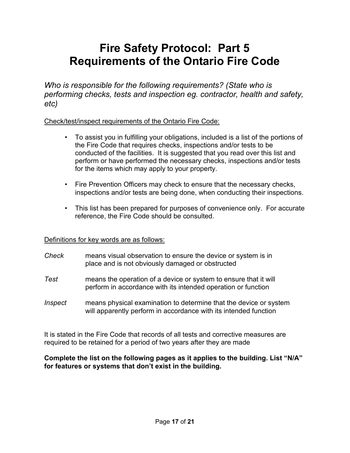## **Fire Safety Protocol: Part 5 Requirements of the Ontario Fire Code**

*Who is responsible for the following requirements? (State who is performing checks, tests and inspection eg. contractor, health and safety, etc)*

#### Check/test/inspect requirements of the Ontario Fire Code:

- To assist you in fulfilling your obligations, included is a list of the portions of the Fire Code that requires checks, inspections and/or tests to be conducted of the facilities. It is suggested that you read over this list and perform or have performed the necessary checks, inspections and/or tests for the items which may apply to your property.
- Fire Prevention Officers may check to ensure that the necessary checks, inspections and/or tests are being done, when conducting their inspections.
- This list has been prepared for purposes of convenience only. For accurate reference, the Fire Code should be consulted.

#### Definitions for key words are as follows:

- *Check* means visual observation to ensure the device or system is in place and is not obviously damaged or obstructed
- *Test* means the operation of a device or system to ensure that it will perform in accordance with its intended operation or function
- *Inspect* means physical examination to determine that the device or system will apparently perform in accordance with its intended function

It is stated in the Fire Code that records of all tests and corrective measures are required to be retained for a period of two years after they are made

**Complete the list on the following pages as it applies to the building. List "N/A" for features or systems that don't exist in the building.**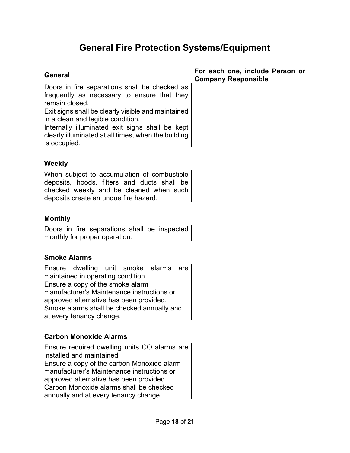## **General Fire Protection Systems/Equipment**

| General                                             | For each one, include Person or<br><b>Company Responsible</b> |
|-----------------------------------------------------|---------------------------------------------------------------|
| Doors in fire separations shall be checked as       |                                                               |
| frequently as necessary to ensure that they         |                                                               |
| remain closed.                                      |                                                               |
| Exit signs shall be clearly visible and maintained  |                                                               |
| in a clean and legible condition.                   |                                                               |
| Internally illuminated exit signs shall be kept     |                                                               |
| clearly illuminated at all times, when the building |                                                               |
| is occupied.                                        |                                                               |

## **Weekly**

| When subject to accumulation of combustible |  |
|---------------------------------------------|--|
| deposits, hoods, filters and ducts shall be |  |
| checked weekly and be cleaned when such     |  |
| deposits create an undue fire hazard.       |  |

## **Monthly**

| Doors in fire separations shall be inspected |  |
|----------------------------------------------|--|
| monthly for proper operation.                |  |

## **Smoke Alarms**

| Ensure dwelling unit smoke alarms are      |  |
|--------------------------------------------|--|
| maintained in operating condition.         |  |
| Ensure a copy of the smoke alarm           |  |
| manufacturer's Maintenance instructions or |  |
| approved alternative has been provided.    |  |
| Smoke alarms shall be checked annually and |  |
| at every tenancy change.                   |  |

## **Carbon Monoxide Alarms**

| Ensure required dwelling units CO alarms are |  |
|----------------------------------------------|--|
| installed and maintained                     |  |
| Ensure a copy of the carbon Monoxide alarm   |  |
| manufacturer's Maintenance instructions or   |  |
| approved alternative has been provided.      |  |
| Carbon Monoxide alarms shall be checked      |  |
| annually and at every tenancy change.        |  |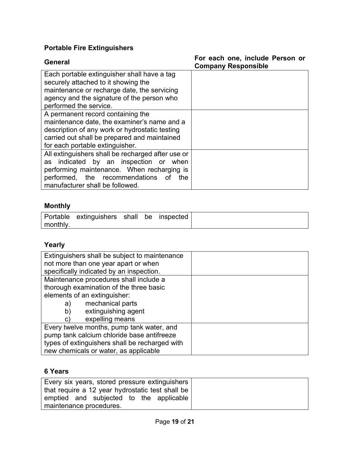## **Portable Fire Extinguishers**

| General                                           | For each one, include Person or<br><b>Company Responsible</b> |
|---------------------------------------------------|---------------------------------------------------------------|
| Each portable extinguisher shall have a tag       |                                                               |
| securely attached to it showing the               |                                                               |
| maintenance or recharge date, the servicing       |                                                               |
| agency and the signature of the person who        |                                                               |
| performed the service.                            |                                                               |
| A permanent record containing the                 |                                                               |
| maintenance date, the examiner's name and a       |                                                               |
| description of any work or hydrostatic testing    |                                                               |
| carried out shall be prepared and maintained      |                                                               |
| for each portable extinguisher.                   |                                                               |
| All extinguishers shall be recharged after use or |                                                               |
| as indicated by an inspection or when             |                                                               |
| performing maintenance. When recharging is        |                                                               |
| performed, the recommendations<br>the<br>0f       |                                                               |
| manufacturer shall be followed.                   |                                                               |

## **Monthly**

|          | Portable extinguishers shall be inspected |  |  |
|----------|-------------------------------------------|--|--|
| monthly. |                                           |  |  |

## **Yearly**

| Extinguishers shall be subject to maintenance<br>not more than one year apart or when |  |
|---------------------------------------------------------------------------------------|--|
|                                                                                       |  |
| specifically indicated by an inspection.                                              |  |
| Maintenance procedures shall include a                                                |  |
| thorough examination of the three basic                                               |  |
| elements of an extinguisher:                                                          |  |
| mechanical parts<br>a)                                                                |  |
| extinguishing agent<br>b)                                                             |  |
| expelling means<br>C)                                                                 |  |
| Every twelve months, pump tank water, and                                             |  |
| pump tank calcium chloride base antifreeze                                            |  |
| types of extinguishers shall be recharged with                                        |  |
| new chemicals or water, as applicable                                                 |  |

## **6 Years**

| Every six years, stored pressure extinguishers   |  |
|--------------------------------------------------|--|
| that require a 12 year hydrostatic test shall be |  |
| emptied and subjected to the applicable          |  |
| maintenance procedures.                          |  |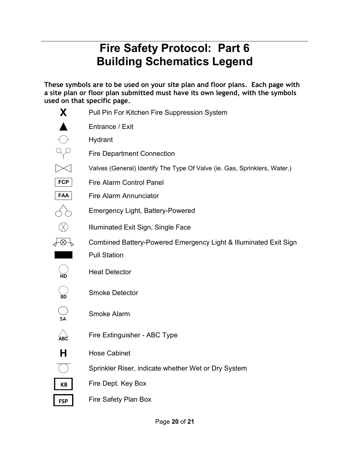# **Fire Safety Protocol: Part 6 Building Schematics Legend**

**These symbols are to be used on your site plan and floor plans. Each page with a site plan or floor plan submitted must have its own legend, with the symbols used on that specific page.**

| X                          | Pull Pin For Kitchen Fire Suppression System                              |
|----------------------------|---------------------------------------------------------------------------|
|                            | Entrance / Exit                                                           |
|                            | Hydrant                                                                   |
|                            | <b>Fire Department Connection</b>                                         |
|                            | Valves (General) Identify The Type Of Valve (ie. Gas, Sprinklers, Water.) |
| <b>FCP</b>                 | <b>Fire Alarm Control Panel</b>                                           |
| FAA                        | <b>Fire Alarm Annunciator</b>                                             |
|                            | <b>Emergency Light, Battery-Powered</b>                                   |
|                            | Illuminated Exit Sign, Single Face                                        |
| ⊗                          | Combined Battery-Powered Emergency Light & Illuminated Exit Sign          |
|                            | <b>Pull Station</b>                                                       |
|                            | <b>Heat Detector</b>                                                      |
|                            | <b>Smoke Detector</b>                                                     |
| SA                         | Smoke Alarm                                                               |
| $\overleftrightarrow{ABC}$ | Fire Extinguisher - ABC Type                                              |
| н                          | <b>Hose Cabinet</b>                                                       |
|                            | Sprinkler Riser, indicate whether Wet or Dry System                       |
| <b>KB</b>                  | Fire Dept. Key Box                                                        |
| <b>FSP</b>                 | Fire Safety Plan Box                                                      |